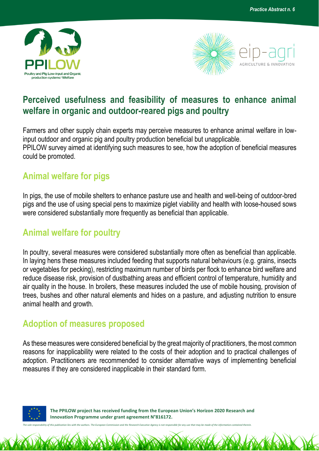



## **Perceived usefulness and feasibility of measures to enhance animal welfare in organic and outdoor-reared pigs and poultry**

Farmers and other supply chain experts may perceive measures to enhance animal welfare in lowinput outdoor and organic pig and poultry production beneficial but unapplicable. PPILOW survey aimed at identifying such measures to see, how the adoption of beneficial measures could be promoted.

## **Animal welfare for pigs**

In pigs, the use of mobile shelters to enhance pasture use and health and well-being of outdoor-bred pigs and the use of using special pens to maximize piglet viability and health with loose-housed sows were considered substantially more frequently as beneficial than applicable.

## **Animal welfare for poultry**

In poultry, several measures were considered substantially more often as beneficial than applicable. In laying hens these measures included feeding that supports natural behaviours (e.g. grains, insects or vegetables for pecking), restricting maximum number of birds per flock to enhance bird welfare and reduce disease risk, provision of dustbathing areas and efficient control of temperature, humidity and air quality in the house. In broilers, these measures included the use of mobile housing, provision of trees, bushes and other natural elements and hides on a pasture, and adjusting nutrition to ensure animal health and growth.

## **Adoption of measures proposed**

As these measures were considered beneficial by the great majority of practitioners, the most common reasons for inapplicability were related to the costs of their adoption and to practical challenges of adoption. Practitioners are recommended to consider alternative ways of implementing beneficial measures if they are considered inapplicable in their standard form.



 **The PPILOW project has received funding from the European Union's Horizon 2020 Research and Innovation Programme under grant agreement N°816172.**

*The sole responsibility of this publication lies with the authors. The European Commission and the Research Executive Agency is not responsible for any use that may be made of the information contained therein.*